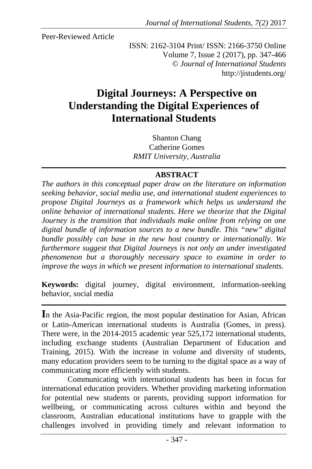Peer-Reviewed Article

ISSN: 2162-3104 Print/ ISSN: 2166-3750 Online Volume 7, Issue 2 (2017), pp. 347-466 © *Journal of International Students* http://jistudents.org/

# **Digital Journeys: A Perspective on Understanding the Digital Experiences of International Students**

Shanton Chang Catherine Gomes *RMIT University, Australia* 

#### **ABSTRACT**

*The authors in this conceptual paper draw on the literature on information seeking behavior, social media use, and international student experiences to propose Digital Journeys as a framework which helps us understand the online behavior of international students*. *Here we theorize that the Digital Journey is the transition that individuals make online from relying on one digital bundle of information sources to a new bundle. This "new" digital bundle possibly can base in the new host country or internationally. We furthermore suggest that Digital Journeys is not only an under investigated phenomenon but a thoroughly necessary space to examine in order to improve the ways in which we present information to international students.* 

**Keywords:** digital journey, digital environment, information-seeking behavior, social media

**I**n the Asia-Pacific region, the most popular destination for Asian, African or Latin-American international students is Australia (Gomes, in press). There were, in the 2014-2015 academic year 525,172 international students, including exchange students (Australian Department of Education and Training, 2015). With the increase in volume and diversity of students, many education providers seem to be turning to the digital space as a way of communicating more efficiently with students.

Communicating with international students has been in focus for international education providers. Whether providing marketing information for potential new students or parents, providing support information for wellbeing, or communicating across cultures within and beyond the classroom, Australian educational institutions have to grapple with the challenges involved in providing timely and relevant information to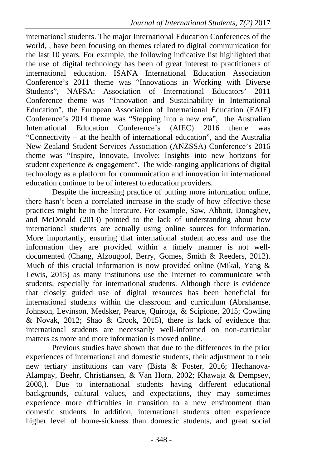international students. The major International Education Conferences of the world, , have been focusing on themes related to digital communication for the last 10 years. For example, the following indicative list highlighted that the use of digital technology has been of great interest to practitioners of international education. ISANA International Education Association Conference's 2011 theme was "Innovations in Working with Diverse Students", NAFSA: Association of International Educators' 2011 Conference theme was "Innovation and Sustainability in International Education", the European Association of International Education (EAIE) Conference's 2014 theme was "Stepping into a new era", the Australian International Education Conference's (AIEC) 2016 theme was "Connectivity – at the health of international education", and the Australia New Zealand Student Services Association (ANZSSA) Conference's 2016 theme was "Inspire, Innovate, Involve: Insights into new horizons for student experience  $\&$  engagement". The wide-ranging applications of digital technology as a platform for communication and innovation in international education continue to be of interest to education providers.

Despite the increasing practice of putting more information online, there hasn't been a correlated increase in the study of how effective these practices might be in the literature. For example, Saw, Abbott, Donaghev, and McDonald (2013) pointed to the lack of understanding about how international students are actually using online sources for information. More importantly, ensuring that international student access and use the information they are provided within a timely manner is not welldocumented (Chang, Alzougool, Berry, Gomes, Smith & Reeders, 2012). Much of this crucial information is now provided online (Mikal, Yang & Lewis, 2015) as many institutions use the Internet to communicate with students, especially for international students. Although there is evidence that closely guided use of digital resources has been beneficial for international students within the classroom and curriculum (Abrahamse, Johnson, Levinson, Medsker, Pearce, Quiroga, & Scipione, 2015; Cowling & Novak, 2012; Shao & Crook, 2015), there is lack of evidence that international students are necessarily well-informed on non-curricular matters as more and more information is moved online.

Previous studies have shown that due to the differences in the prior experiences of international and domestic students, their adjustment to their new tertiary institutions can vary (Bista & Foster, 2016; Hechanova-Alampay, Beehr, Christiansen, & Van Horn, 2002; Khawaja & Dempsey, 2008,). Due to international students having different educational backgrounds, cultural values, and expectations, they may sometimes experience more difficulties in transition to a new environment than domestic students. In addition, international students often experience higher level of home-sickness than domestic students, and great social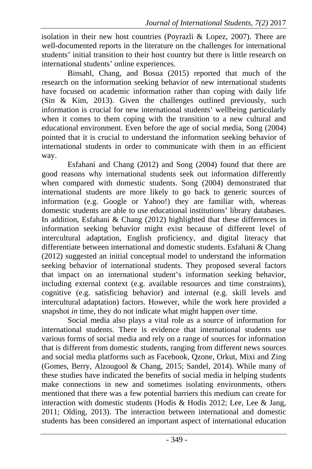isolation in their new host countries (Poyrazli & Lopez, 2007). There are well-documented reports in the literature on the challenges for international students' initial transition to their host country but there is little research on international students' online experiences.

Binsahl, Chang, and Bosua (2015) reported that much of the research on the information seeking behavior of new international students have focused on academic information rather than coping with daily life (Sin & Kim, 2013). Given the challenges outlined previously, such information is crucial for new international students' wellbeing particularly when it comes to them coping with the transition to a new cultural and educational environment. Even before the age of social media, Song (2004) pointed that it is crucial to understand the information seeking behavior of international students in order to communicate with them in an efficient way.

Esfahani and Chang (2012) and Song (2004) found that there are good reasons why international students seek out information differently when compared with domestic students. Song (2004) demonstrated that international students are more likely to go back to generic sources of information (e.g. Google or Yahoo!) they are familiar with, whereas domestic students are able to use educational institutions' library databases. In addition, Esfahani & Chang (2012) highlighted that these differences in information seeking behavior might exist because of different level of intercultural adaptation, English proficiency, and digital literacy that differentiate between international and domestic students. Esfahani & Chang (2012) suggested an initial conceptual model to understand the information seeking behavior of international students. They proposed several factors that impact on an international student's information seeking behavior, including external context (e.g. available resources and time constraints), cognitive (e.g. satisficing behavior) and internal (e.g. skill levels and intercultural adaptation) factors. However, while the work here provided a snapshot *in* time, they do not indicate what might happen *over* time.

Social media also plays a vital role as a source of information for international students. There is evidence that international students use various forms of social media and rely on a range of sources for information that is different from domestic students, ranging from different news sources and social media platforms such as Facebook, Qzone, Orkut, Mixi and Zing (Gomes, Berry, Alzougool & Chang, 2015; Sandel, 2014). While many of these studies have indicated the benefits of social media in helping students make connections in new and sometimes isolating environments, others mentioned that there was a few potential barriers this medium can create for interaction with domestic students (Hodis & Hodis 2012; Lee, Lee & Jang, 2011; Olding, 2013). The interaction between international and domestic students has been considered an important aspect of international education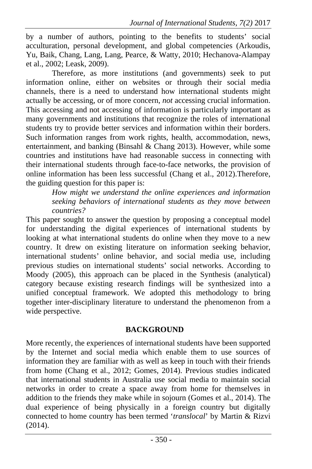by a number of authors, pointing to the benefits to students' social acculturation, personal development, and global competencies (Arkoudis, Yu, Baik, Chang, Lang, Lang, Pearce, & Watty, 2010; Hechanova-Alampay et al., 2002; Leask, 2009).

Therefore, as more institutions (and governments) seek to put information online, either on websites or through their social media channels, there is a need to understand how international students might actually be accessing, or of more concern, *not* accessing crucial information. This accessing and not accessing of information is particularly important as many governments and institutions that recognize the roles of international students try to provide better services and information within their borders. Such information ranges from work rights, health, accommodation, news, entertainment, and banking (Binsahl & Chang 2013). However, while some countries and institutions have had reasonable success in connecting with their international students through face-to-face networks, the provision of online information has been less successful (Chang et al., 2012).Therefore, the guiding question for this paper is:

*How might we understand the online experiences and information seeking behaviors of international students as they move between countries?* 

This paper sought to answer the question by proposing a conceptual model for understanding the digital experiences of international students by looking at what international students do online when they move to a new country. It drew on existing literature on information seeking behavior, international students' online behavior, and social media use, including previous studies on international students' social networks. According to Moody (2005), this approach can be placed in the Synthesis (analytical) category because existing research findings will be synthesized into a unified conceptual framework. We adopted this methodology to bring together inter-disciplinary literature to understand the phenomenon from a wide perspective.

# **BACKGROUND**

More recently, the experiences of international students have been supported by the Internet and social media which enable them to use sources of information they are familiar with as well as keep in touch with their friends from home (Chang et al., 2012; Gomes, 2014). Previous studies indicated that international students in Australia use social media to maintain social networks in order to create a space away from home for themselves in addition to the friends they make while in sojourn (Gomes et al., 2014). The dual experience of being physically in a foreign country but digitally connected to home country has been termed '*translocal*' by Martin & Rizvi (2014).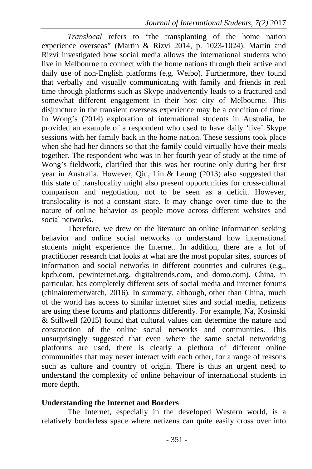*Translocal* refers to "the transplanting of the home nation experience overseas" (Martin & Rizvi 2014, p. 1023-1024). Martin and Rizvi investigated how social media allows the international students who live in Melbourne to connect with the home nations through their active and daily use of non-English platforms (e.g. Weibo). Furthermore, they found that verbally and visually communicating with family and friends in real time through platforms such as Skype inadvertently leads to a fractured and somewhat different engagement in their host city of Melbourne. This disjuncture in the transient overseas experience may be a condition of time. In Wong's (2014) exploration of international students in Australia, he provided an example of a respondent who used to have daily 'live' Skype sessions with her family back in the home nation. These sessions took place when she had her dinners so that the family could virtually have their meals together. The respondent who was in her fourth year of study at the time of Wong's fieldwork, clarified that this was her routine only during her first year in Australia. However, Qiu, Lin & Leung (2013) also suggested that this state of translocality might also present opportunities for cross-cultural comparison and negotiation, not to be seen as a deficit. However, translocality is not a constant state. It may change over time due to the nature of online behavior as people move across different websites and social networks.

Therefore, we drew on the literature on online information seeking behavior and online social networks to understand how international students might experience the Internet. In addition, there are a lot of practitioner research that looks at what are the most popular sites, sources of information and social networks in different countries and cultures (e.g., kpcb.com, pewinternet.org, digitaltrends.com, and domo.com). China, in particular, has completely different sets of social media and internet forums (chinainternetwatch, 2016). In summary, although, other than China, much of the world has access to similar internet sites and social media, netizens are using these forums and platforms differently. For example, Na, Kosinski & Stillwell (2015) found that cultural values can determine the nature and construction of the online social networks and communities. This unsurprisingly suggested that even where the same social networking platforms are used, there is clearly a plethora of different online communities that may never interact with each other, for a range of reasons such as culture and country of origin. There is thus an urgent need to understand the complexity of online behaviour of international students in more depth.

#### **Understanding the Internet and Borders**

The Internet, especially in the developed Western world, is a relatively borderless space where netizens can quite easily cross over into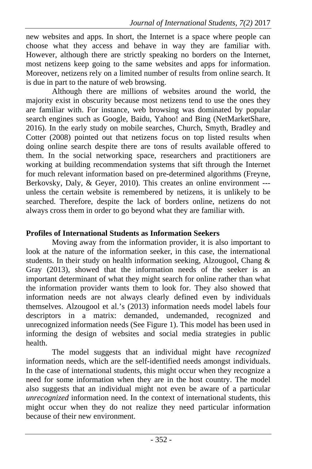new websites and apps. In short, the Internet is a space where people can choose what they access and behave in way they are familiar with. However, although there are strictly speaking no borders on the Internet, most netizens keep going to the same websites and apps for information. Moreover, netizens rely on a limited number of results from online search. It is due in part to the nature of web browsing.

Although there are millions of websites around the world, the majority exist in obscurity because most netizens tend to use the ones they are familiar with. For instance, web browsing was dominated by popular search engines such as Google, Baidu, Yahoo! and Bing (NetMarketShare, 2016). In the early study on mobile searches, Church, Smyth, Bradley and Cotter (2008) pointed out that netizens focus on top listed results when doing online search despite there are tons of results available offered to them. In the social networking space, researchers and practitioners are working at building recommendation systems that sift through the Internet for much relevant information based on pre-determined algorithms (Freyne, Berkovsky, Daly, & Geyer, 2010). This creates an online environment -- unless the certain website is remembered by netizens, it is unlikely to be searched. Therefore, despite the lack of borders online, netizens do not always cross them in order to go beyond what they are familiar with.

## **Profiles of International Students as Information Seekers**

Moving away from the information provider, it is also important to look at the nature of the information seeker, in this case, the international students. In their study on health information seeking, Alzougool, Chang & Gray (2013), showed that the information needs of the seeker is an important determinant of what they might search for online rather than what the information provider wants them to look for. They also showed that information needs are not always clearly defined even by individuals themselves. Alzougool et al.'s (2013) information needs model labels four descriptors in a matrix: demanded, undemanded, recognized and unrecognized information needs (See Figure 1). This model has been used in informing the design of websites and social media strategies in public health.

The model suggests that an individual might have *recognized* information needs, which are the self-identified needs amongst individuals. In the case of international students, this might occur when they recognize a need for some information when they are in the host country. The model also suggests that an individual might not even be aware of a particular *unrecognized* information need. In the context of international students, this might occur when they do not realize they need particular information because of their new environment.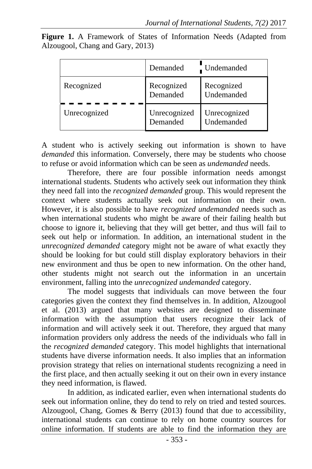|  |                                  |  | <b>Figure 1.</b> A Framework of States of Information Needs (Adapted from |  |  |
|--|----------------------------------|--|---------------------------------------------------------------------------|--|--|
|  | Alzougool, Chang and Gary, 2013) |  |                                                                           |  |  |

|              | Demanded                 | Undemanded                 |  |
|--------------|--------------------------|----------------------------|--|
| Recognized   | Recognized<br>Demanded   | Recognized<br>Undemanded   |  |
| Unrecognized | Unrecognized<br>Demanded | Unrecognized<br>Undemanded |  |

A student who is actively seeking out information is shown to have *demanded* this information. Conversely, there may be students who choose to refuse or avoid information which can be seen as *undemanded* needs.

Therefore, there are four possible information needs amongst international students. Students who actively seek out information they think they need fall into the *recognized demanded* group. This would represent the context where students actually seek out information on their own. However, it is also possible to have *recognized undemanded* needs such as when international students who might be aware of their failing health but choose to ignore it, believing that they will get better, and thus will fail to seek out help or information. In addition, an international student in the *unrecognized demanded* category might not be aware of what exactly they should be looking for but could still display exploratory behaviors in their new environment and thus be open to new information. On the other hand, other students might not search out the information in an uncertain environment, falling into the *unrecognized undemanded* category.

The model suggests that individuals can move between the four categories given the context they find themselves in. In addition, Alzougool et al. (2013) argued that many websites are designed to disseminate information with the assumption that users recognize their lack of information and will actively seek it out. Therefore, they argued that many information providers only address the needs of the individuals who fall in the *recognized demanded* category. This model highlights that international students have diverse information needs. It also implies that an information provision strategy that relies on international students recognizing a need in the first place, and then actually seeking it out on their own in every instance they need information, is flawed.

In addition, as indicated earlier, even when international students do seek out information online, they do tend to rely on tried and tested sources. Alzougool, Chang, Gomes & Berry (2013) found that due to accessibility, international students can continue to rely on home country sources for online information. If students are able to find the information they are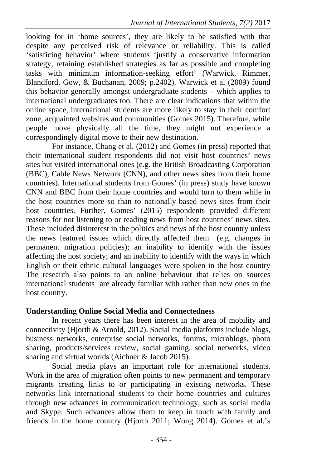looking for in 'home sources', they are likely to be satisfied with that despite any perceived risk of relevance or reliability. This is called 'satisficing behavior' where students 'justify a conservative information strategy, retaining established strategies as far as possible and completing tasks with minimum information-seeking effort' (Warwick, Rimmer, Blandford, Gow, & Buchanan, 2009; p.2402). Warwick et al (2009) found this behavior generally amongst undergraduate students – which applies to international undergraduates too. There are clear indications that within the online space, international students are more likely to stay in their comfort zone, acquainted websites and communities (Gomes 2015). Therefore, while people move physically all the time, they might not experience a correspondingly digital move to their new destination.

For instance, Chang et al. (2012) and Gomes (in press) reported that their international student respondents did not visit host countries' news sites but visited international ones (e.g. the British Broadcasting Corporation (BBC), Cable News Network (CNN), and other news sites from their home countries). International students from Gomes' (in press) study have known CNN and BBC from their home countries and would turn to them while in the host countries more so than to nationally-based news sites from their host countries. Further, Gomes' (2015) respondents provided different reasons for not listening to or reading news from host countries' news sites. These included disinterest in the politics and news of the host country unless the news featured issues which directly affected them (e.g. changes in permanent migration policies); an inability to identify with the issues affecting the host society; and an inability to identify with the ways in which English or their ethnic cultural languages were spoken in the host country The research also points to an online behaviour that relies on sources international students are already familiar with rather than new ones in the host country.

# **Understanding Online Social Media and Connectedness**

In recent years there has been interest in the area of mobility and connectivity (Hjorth & Arnold, 2012). Social media platforms include blogs, business networks, enterprise social networks, forums, microblogs, photo sharing, products/services review, social gaming, social networks, video sharing and virtual worlds (Aichner & Jacob 2015).

Social media plays an important role for international students. Work in the area of migration often points to new permanent and temporary migrants creating links to or participating in existing networks. These networks link international students to their home countries and cultures through new advances in communication technology, such as social media and Skype. Such advances allow them to keep in touch with family and friends in the home country (Hjorth 2011; Wong 2014). Gomes et al.'s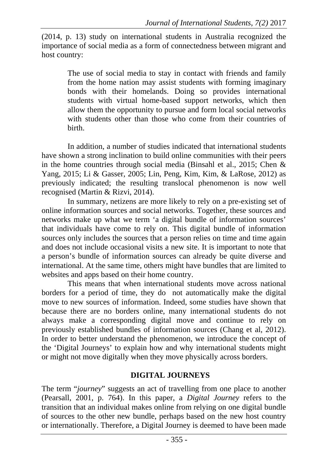(2014, p. 13) study on international students in Australia recognized the importance of social media as a form of connectedness between migrant and host country:

> The use of social media to stay in contact with friends and family from the home nation may assist students with forming imaginary bonds with their homelands. Doing so provides international students with virtual home-based support networks, which then allow them the opportunity to pursue and form local social networks with students other than those who come from their countries of birth.

In addition, a number of studies indicated that international students have shown a strong inclination to build online communities with their peers in the home countries through social media (Binsahl et al., 2015; Chen & Yang, 2015; Li & Gasser, 2005; Lin, Peng, Kim, Kim, & LaRose, 2012) as previously indicated; the resulting translocal phenomenon is now well recognised (Martin & Rizvi, 2014).

In summary, netizens are more likely to rely on a pre-existing set of online information sources and social networks. Together, these sources and networks make up what we term 'a digital bundle of information sources' that individuals have come to rely on. This digital bundle of information sources only includes the sources that a person relies on time and time again and does not include occasional visits a new site. It is important to note that a person's bundle of information sources can already be quite diverse and international. At the same time, others might have bundles that are limited to websites and apps based on their home country.

This means that when international students move across national borders for a period of time, they do not automatically make the digital move to new sources of information. Indeed, some studies have shown that because there are no borders online, many international students do not always make a corresponding digital move and continue to rely on previously established bundles of information sources (Chang et al, 2012). In order to better understand the phenomenon, we introduce the concept of the 'Digital Journeys' to explain how and why international students might or might not move digitally when they move physically across borders.

# **DIGITAL JOURNEYS**

The term "*journey*" suggests an act of travelling from one place to another (Pearsall, 2001, p. 764). In this paper, a *Digital Journey* refers to the transition that an individual makes online from relying on one digital bundle of sources to the other new bundle, perhaps based on the new host country or internationally. Therefore, a Digital Journey is deemed to have been made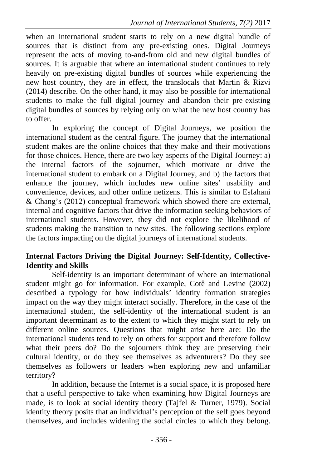when an international student starts to rely on a new digital bundle of sources that is distinct from any pre-existing ones. Digital Journeys represent the acts of moving to-and-from old and new digital bundles of sources. It is arguable that where an international student continues to rely heavily on pre-existing digital bundles of sources while experiencing the new host country, they are in effect, the translocals that Martin & Rizvi (2014) describe. On the other hand, it may also be possible for international students to make the full digital journey and abandon their pre-existing digital bundles of sources by relying only on what the new host country has to offer.

In exploring the concept of Digital Journeys, we position the international student as the central figure. The journey that the international student makes are the online choices that they make and their motivations for those choices. Hence, there are two key aspects of the Digital Journey: a) the internal factors of the sojourner, which motivate or drive the international student to embark on a Digital Journey, and b) the factors that enhance the journey, which includes new online sites' usability and convenience, devices, and other online netizens. This is similar to Esfahani & Chang's (2012) conceptual framework which showed there are external, internal and cognitive factors that drive the information seeking behaviors of international students. However, they did not explore the likelihood of students making the transition to new sites. The following sections explore the factors impacting on the digital journeys of international students.

#### **Internal Factors Driving the Digital Journey: Self-Identity, Collective-Identity and Skills**

Self-identity is an important determinant of where an international student might go for information. For example, Cotê and Levine (2002) described a typology for how individuals' identity formation strategies impact on the way they might interact socially. Therefore, in the case of the international student, the self-identity of the international student is an important determinant as to the extent to which they might start to rely on different online sources. Questions that might arise here are: Do the international students tend to rely on others for support and therefore follow what their peers do? Do the sojourners think they are preserving their cultural identity, or do they see themselves as adventurers? Do they see themselves as followers or leaders when exploring new and unfamiliar territory?

In addition, because the Internet is a social space, it is proposed here that a useful perspective to take when examining how Digital Journeys are made, is to look at social identity theory (Tajfel & Turner, 1979). Social identity theory posits that an individual's perception of the self goes beyond themselves, and includes widening the social circles to which they belong.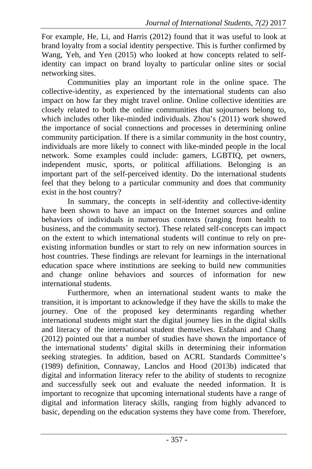For example, He, Li, and Harris (2012) found that it was useful to look at brand loyalty from a social identity perspective. This is further confirmed by Wang, Yeh, and Yen (2015) who looked at how concepts related to selfidentity can impact on brand loyalty to particular online sites or social networking sites.

Communities play an important role in the online space. The collective-identity, as experienced by the international students can also impact on how far they might travel online. Online collective identities are closely related to both the online communities that sojourners belong to, which includes other like-minded individuals. Zhou's (2011) work showed the importance of social connections and processes in determining online community participation. If there is a similar community in the host country, individuals are more likely to connect with like-minded people in the local network. Some examples could include: gamers, LGBTIQ, pet owners, independent music, sports, or political affiliations. Belonging is an important part of the self-perceived identity. Do the international students feel that they belong to a particular community and does that community exist in the host country?

In summary, the concepts in self-identity and collective-identity have been shown to have an impact on the Internet sources and online behaviors of individuals in numerous contexts (ranging from health to business, and the community sector). These related self-concepts can impact on the extent to which international students will continue to rely on preexisting information bundles or start to rely on new information sources in host countries. These findings are relevant for learnings in the international education space where institutions are seeking to build new communities and change online behaviors and sources of information for new international students.

Furthermore, when an international student wants to make the transition, it is important to acknowledge if they have the skills to make the journey. One of the proposed key determinants regarding whether international students might start the digital journey lies in the digital skills and literacy of the international student themselves. Esfahani and Chang (2012) pointed out that a number of studies have shown the importance of the international students' digital skills in determining their information seeking strategies. In addition, based on ACRL Standards Committee's (1989) definition, Connaway, Lanclos and Hood (2013b) indicated that digital and information literacy refer to the ability of students to recognize and successfully seek out and evaluate the needed information. It is important to recognize that upcoming international students have a range of digital and information literacy skills, ranging from highly advanced to basic, depending on the education systems they have come from. Therefore,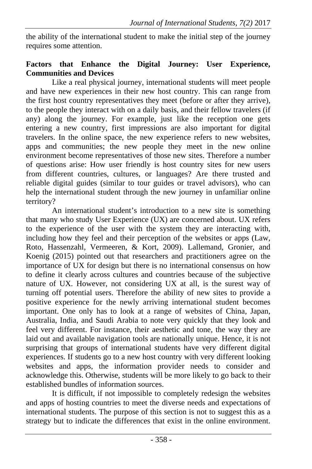the ability of the international student to make the initial step of the journey requires some attention.

### **Factors that Enhance the Digital Journey: User Experience, Communities and Devices**

Like a real physical journey, international students will meet people and have new experiences in their new host country. This can range from the first host country representatives they meet (before or after they arrive), to the people they interact with on a daily basis, and their fellow travelers (if any) along the journey. For example, just like the reception one gets entering a new country, first impressions are also important for digital travelers. In the online space, the new experience refers to new websites, apps and communities; the new people they meet in the new online environment become representatives of those new sites. Therefore a number of questions arise: How user friendly is host country sites for new users from different countries, cultures, or languages? Are there trusted and reliable digital guides (similar to tour guides or travel advisors), who can help the international student through the new journey in unfamiliar online territory?

An international student's introduction to a new site is something that many who study User Experience (UX) are concerned about. UX refers to the experience of the user with the system they are interacting with, including how they feel and their perception of the websites or apps (Law, Roto, Hassenzahl, Vermeeren, & Kort, 2009). Lallemand, Gronier, and Koenig (2015) pointed out that researchers and practitioners agree on the importance of UX for design but there is no international consensus on how to define it clearly across cultures and countries because of the subjective nature of UX. However, not considering UX at all, is the surest way of turning off potential users. Therefore the ability of new sites to provide a positive experience for the newly arriving international student becomes important. One only has to look at a range of websites of China, Japan, Australia, India, and Saudi Arabia to note very quickly that they look and feel very different. For instance, their aesthetic and tone, the way they are laid out and available navigation tools are nationally unique. Hence, it is not surprising that groups of international students have very different digital experiences. If students go to a new host country with very different looking websites and apps, the information provider needs to consider and acknowledge this. Otherwise, students will be more likely to go back to their established bundles of information sources.

It is difficult, if not impossible to completely redesign the websites and apps of hosting countries to meet the diverse needs and expectations of international students. The purpose of this section is not to suggest this as a strategy but to indicate the differences that exist in the online environment.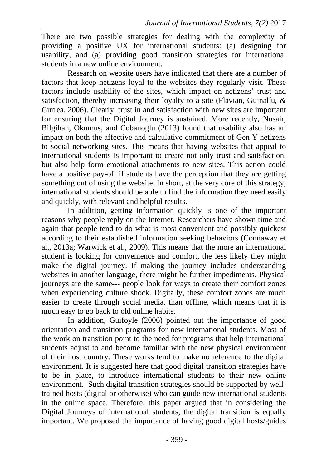There are two possible strategies for dealing with the complexity of providing a positive UX for international students: (a) designing for usability, and (a) providing good transition strategies for international students in a new online environment.

Research on website users have indicated that there are a number of factors that keep netizens loyal to the websites they regularly visit. These factors include usability of the sites, which impact on netizens' trust and satisfaction, thereby increasing their loyalty to a site (Flavian, Guinalíu, & Gurrea, 2006). Clearly, trust in and satisfaction with new sites are important for ensuring that the Digital Journey is sustained. More recently, Nusair, Bilgihan, Okumus, and Cobanoglu (2013) found that usability also has an impact on both the affective and calculative commitment of Gen Y netizens to social networking sites. This means that having websites that appeal to international students is important to create not only trust and satisfaction, but also help form emotional attachments to new sites. This action could have a positive pay-off if students have the perception that they are getting something out of using the website. In short, at the very core of this strategy, international students should be able to find the information they need easily and quickly, with relevant and helpful results.

In addition, getting information quickly is one of the important reasons why people reply on the Internet. Researchers have shown time and again that people tend to do what is most convenient and possibly quickest according to their established information seeking behaviors (Connaway et al., 2013a; Warwick et al., 2009). This means that the more an international student is looking for convenience and comfort, the less likely they might make the digital journey. If making the journey includes understanding websites in another language, there might be further impediments. Physical journeys are the same--- people look for ways to create their comfort zones when experiencing culture shock. Digitally, these comfort zones are much easier to create through social media, than offline, which means that it is much easy to go back to old online habits.

In addition, Guifoyle (2006) pointed out the importance of good orientation and transition programs for new international students. Most of the work on transition point to the need for programs that help international students adjust to and become familiar with the new physical environment of their host country. These works tend to make no reference to the digital environment. It is suggested here that good digital transition strategies have to be in place, to introduce international students to their new online environment. Such digital transition strategies should be supported by welltrained hosts (digital or otherwise) who can guide new international students in the online space. Therefore, this paper argued that in considering the Digital Journeys of international students, the digital transition is equally important. We proposed the importance of having good digital hosts/guides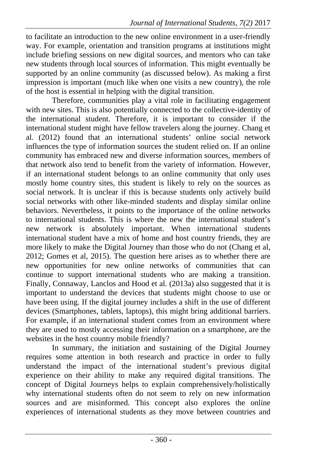to facilitate an introduction to the new online environment in a user-friendly way. For example, orientation and transition programs at institutions might include briefing sessions on new digital sources, and mentors who can take new students through local sources of information. This might eventually be supported by an online community (as discussed below). As making a first impression is important (much like when one visits a new country), the role of the host is essential in helping with the digital transition.

Therefore, communities play a vital role in facilitating engagement with new sites. This is also potentially connected to the collective-identity of the international student. Therefore, it is important to consider if the international student might have fellow travelers along the journey. Chang et al. (2012) found that an international students' online social network influences the type of information sources the student relied on. If an online community has embraced new and diverse information sources, members of that network also tend to benefit from the variety of information. However, if an international student belongs to an online community that only uses mostly home country sites, this student is likely to rely on the sources as social network. It is unclear if this is because students only actively build social networks with other like-minded students and display similar online behaviors. Nevertheless, it points to the importance of the online networks to international students. This is where the new the international student's new network is absolutely important. When international students international student have a mix of home and host country friends, they are more likely to make the Digital Journey than those who do not (Chang et al, 2012; Gomes et al, 2015). The question here arises as to whether there are new opportunities for new online networks of communities that can continue to support international students who are making a transition. Finally, Connaway, Lanclos and Hood et al. (2013a) also suggested that it is important to understand the devices that students might choose to use or have been using. If the digital journey includes a shift in the use of different devices (Smartphones, tablets, laptops), this might bring additional barriers. For example, if an international student comes from an environment where they are used to mostly accessing their information on a smartphone, are the websites in the host country mobile friendly?

In summary, the initiation and sustaining of the Digital Journey requires some attention in both research and practice in order to fully understand the impact of the international student's previous digital experience on their ability to make any required digital transitions. The concept of Digital Journeys helps to explain comprehensively/holistically why international students often do not seem to rely on new information sources and are misinformed. This concept also explores the online experiences of international students as they move between countries and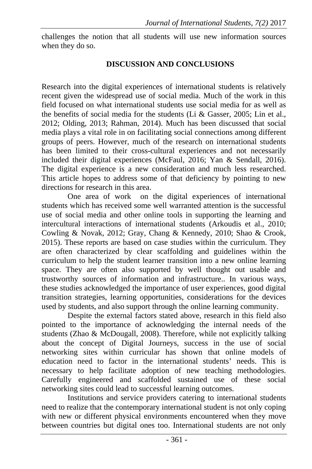challenges the notion that all students will use new information sources when they do so.

#### **DISCUSSION AND CONCLUSIONS**

Research into the digital experiences of international students is relatively recent given the widespread use of social media. Much of the work in this field focused on what international students use social media for as well as the benefits of social media for the students (Li  $& Gasser, 2005$ ; Lin et al., 2012; Olding, 2013; Rahman, 2014). Much has been discussed that social media plays a vital role in on facilitating social connections among different groups of peers. However, much of the research on international students has been limited to their cross-cultural experiences and not necessarily included their digital experiences (McFaul, 2016; Yan & Sendall, 2016). The digital experience is a new consideration and much less researched. This article hopes to address some of that deficiency by pointing to new directions for research in this area.

One area of work on the digital experiences of international students which has received some well warranted attention is the successful use of social media and other online tools in supporting the learning and intercultural interactions of international students (Arkoudis et al., 2010; Cowling & Novak, 2012; Gray, Chang & Kennedy, 2010; Shao & Crook, 2015). These reports are based on case studies within the curriculum. They are often characterized by clear scaffolding and guidelines within the curriculum to help the student learner transition into a new online learning space. They are often also supported by well thought out usable and trustworthy sources of information and infrastructure.. In various ways, these studies acknowledged the importance of user experiences, good digital transition strategies, learning opportunities, considerations for the devices used by students, and also support through the online learning community.

Despite the external factors stated above, research in this field also pointed to the importance of acknowledging the internal needs of the students (Zhao & McDougall, 2008). Therefore, while not explicitly talking about the concept of Digital Journeys, success in the use of social networking sites within curricular has shown that online models of education need to factor in the international students' needs. This is necessary to help facilitate adoption of new teaching methodologies. Carefully engineered and scaffolded sustained use of these social networking sites could lead to successful learning outcomes.

Institutions and service providers catering to international students need to realize that the contemporary international student is not only coping with new or different physical environments encountered when they move between countries but digital ones too. International students are not only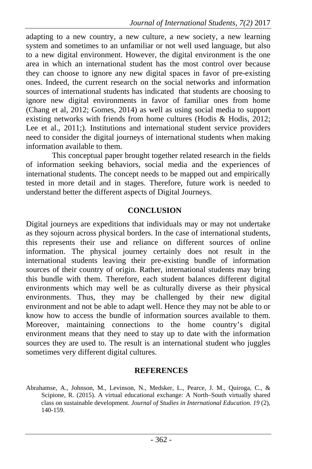adapting to a new country, a new culture, a new society, a new learning system and sometimes to an unfamiliar or not well used language, but also to a new digital environment. However, the digital environment is the one area in which an international student has the most control over because they can choose to ignore any new digital spaces in favor of pre-existing ones. Indeed, the current research on the social networks and information sources of international students has indicated that students are choosing to ignore new digital environments in favor of familiar ones from home (Chang et al, 2012; Gomes, 2014) as well as using social media to support existing networks with friends from home cultures (Hodis & Hodis, 2012; Lee et al., 2011;). Institutions and international student service providers need to consider the digital journeys of international students when making information available to them.

This conceptual paper brought together related research in the fields of information seeking behaviors, social media and the experiences of international students. The concept needs to be mapped out and empirically tested in more detail and in stages. Therefore, future work is needed to understand better the different aspects of Digital Journeys.

# **CONCLUSION**

Digital journeys are expeditions that individuals may or may not undertake as they sojourn across physical borders. In the case of international students, this represents their use and reliance on different sources of online information. The physical journey certainly does not result in the international students leaving their pre-existing bundle of information sources of their country of origin. Rather, international students may bring this bundle with them. Therefore, each student balances different digital environments which may well be as culturally diverse as their physical environments. Thus, they may be challenged by their new digital environment and not be able to adapt well. Hence they may not be able to or know how to access the bundle of information sources available to them. Moreover, maintaining connections to the home country's digital environment means that they need to stay up to date with the information sources they are used to. The result is an international student who juggles sometimes very different digital cultures.

#### **REFERENCES**

Abrahamse, A., Johnson, M., Levinson, N., Medsker, L., Pearce, J. M., Quiroga, C., & Scipione, R. (2015). A virtual educational exchange: A North–South virtually shared class on sustainable development. *Journal of Studies in International Education. 19* (2), 140-159.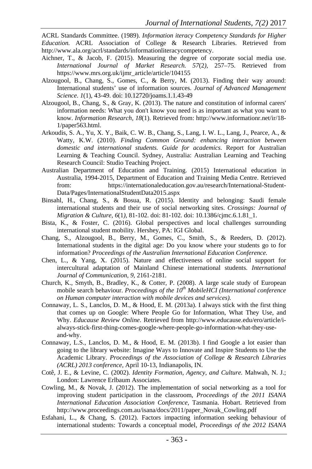ACRL Standards Committee. (1989). *Information iteracy Competency Standards for Higher Education.* ACRL Association of College & Research Libraries. Retrieved from http://www.ala.org/acrl/standards/informationliteracycompetency.

- Aichner, T., & Jacob, F. (2015). Measuring the degree of corporate social media use. *International Journal of Market Research. 57*(2*),* 257–75. Retrieved from https://www.mrs.org.uk/ijmr\_article/article/104155
- Alzougool, B., Chang, S., Gomes, C., & Berry, M. (2013). Finding their way around: International students' use of information sources. *Journal of Advanced Management Science*. *1*(1), 43-49. doi: 10.12720/joams.1.1.43-49
- Alzougool, B., Chang, S., & Gray, K. (2013). The nature and constitution of informal carers' information needs: What you don't know you need is as important as what you want to know. *Information Research, 18*(1). Retrieved from: http://www.informationr.net/ir/18- 1/paper563.html.
- Arkoudis, S. A., Yu, X. Y., Baik, C. W. B., Chang, S., Lang, I. W. L., Lang, J., Pearce, A., & Watty, K.W. (2010). *Finding Common Ground: enhancing interaction between domestic and international students. Guide for academics.* Report for Australian Learning & Teaching Council. Sydney, Australia: Australian Learning and Teaching Research Council: Studio Teaching Project.
- Australian Department of Education and Training. (2015) International education in Australia, 1994-2015, Department of Education and Training Media Centre. Retrieved from: https://internationaleducation.gov.au/research/International-Student-Data/Pages/InternationalStudentData2015.aspx
- Binsahl, H., Chang, S., & Bosua, R. (2015). Identity and belonging: Saudi female international students and their use of social networking sites. *Crossings: Journal of Migration & Culture*, *6*(1*),* 81-102. doi: 81-102. doi: 10.1386/cjmc.6.1.81\_1.
- Bista, K., & Foster, C. (2016). Global perspectives and local challenges surrounding international student mobility. Hershey, PA: IGI Global.
- Chang, S., Alzougool, B., Berry, M., Gomes, C., Smith, S., & Reeders, D. (2012). International students in the digital age: Do you know where your students go to for information? *Proceedings of the Australian International Education Conference.*
- Chen, L., & Yang, X. (2015). Nature and effectiveness of online social support for intercultural adaptation of Mainland Chinese international students. *International Journal of Communication, 9*, 2161-2181.
- Church, K., Smyth, B., Bradley, K., & Cotter, P. (2008). A large scale study of European mobile search behaviour. *Proceedings of the 10<sup>th</sup> MobileHCI (International conference on Human computer interaction with mobile devices and services).*
- Connaway, L. S., Lanclos, D. M., & Hood, E. M. (2013a). I always stick with the first thing that comes up on Google: Where People Go for Information, What They Use, and Why. *Educause Review Online*. Retrieved from http://www.educause.edu/ero/article/ialways-stick-first-thing-comes-google-where-people-go-information-what-they-useand-why.
- Connaway, L.S., Lanclos, D. M., & Hood, E. M. (2013b). I find Google a lot easier than going to the library website: Imagine Ways to Innovate and Inspire Students to Use the Academic Library. *Proceedings of the Association of College & Research Libraries (ACRL) 2013 conference,* April 10-13, Indianapolis, IN.
- Cotê, J. E., & Levine, C. (2002). *Identity Formation, Agency, and Culture.* Mahwah, N. J.; London: Lawrence Erlbaum Associates.
- Cowling, M., & Novak, J. (2012). The implementation of social networking as a tool for improving student participation in the classroom, *Proceedings of the 2011 ISANA International Education Association Conference,* Tasmania. Hobart. Retrieved from http://www.proceedings.com.au/isana/docs/2011/paper\_Novak\_Cowling.pdf
- Esfahani, L., & Chang, S. (2012). Factors impacting information seeking behaviour of international students: Towards a conceptual model, *Proceedings of the 2012 ISANA*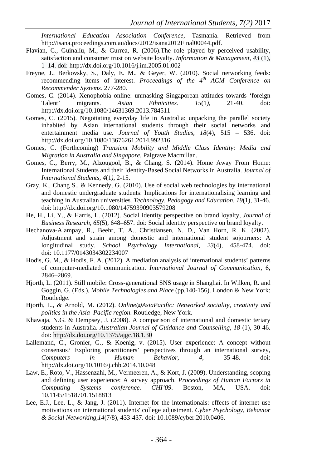*International Education Association Conference*, Tasmania. Retrieved from http://isana.proceedings.com.au/docs/2012/isana2012Final00044.pdf.

- Flavian, C., Guinalíu, M., & Gurrea, R. (2006).The role played by perceived usability, satisfaction and consumer trust on website loyalty. *Information & Management, 43* (1), 1–14. doi: http://dx.doi.org/10.1016/j.im.2005.01.002
- Freyne, J., Berkovsky, S., Daly, E. M., & Geyer, W. (2010). Social networking feeds: recommending items of interest. *Proceedings of the 4<sup>th</sup> ACM Conference on Recommender Systems.* 277-280.
- Gomes, C. (2014). Xenophobia online: unmasking Singaporean attitudes towards 'foreign Talent' migrants. *Asian Ethnicities. 15*(1*),* 21-40. doi: http://dx.doi.org/10.1080/14631369.2013.784511
- Gomes, C. (2015). Negotiating everyday life in Australia: unpacking the parallel society inhabited by Asian international students through their social networks and entertainment media use. *Journal of Youth Studies, 18*(4), 515 – 536. doi: http://dx.doi.org/10.1080/13676261.2014.992316
- Gomes, C. (Forthcoming) *Transient Mobility and Middle Class Identity: Media and Migration in Australia and Singapore*, Palgrave Macmillan.
- Gomes, C., Berry, M., Alzougool, B., & Chang, S. (2014). Home Away From Home: International Students and their Identity-Based Social Networks in Australia. *Journal of International Students, 4*(1*)*, 2-15.
- Gray, K., Chang S., & Kennedy, G. (2010). Use of social web technologies by international and domestic undergraduate students: Implications for internationalising learning and teaching in Australian universities. *Technology, Pedagogy and Education, 19*(1), 31-46. doi: http://dx.doi.org/10.1080/14759390903579208
- He, H., Li, Y., & Harris, L. (2012). Social identity perspective on brand loyalty, *Journal of Business Research*, *65*(5), 648–657. doi: Social identity perspective on brand loyalty.
- Hechanova-Alampay, R., Beehr, T. A., Christiansen, N. D., Van Horn, R. K. (2002). Adjustment and strain among domestic and international student sojourners: A longitudinal study. *School Psychology International*, *23*(4), 458-474. doi: doi: 10.1177/0143034302234007
- Hodis, G. M., & Hodis, F. A. (2012). A mediation analysis of international students' patterns of computer-mediated communication. *International Journal of Communication*, 6, 2846–2869.
- Hjorth, L. (2011). Still mobile: Cross-generational SNS usage in Shanghai. In Wilken, R. and Goggin, G. (Eds.), *Mobile Technologies and Place* (pp.140-156). London & New York: Routledge.
- Hjorth, L., & Arnold, M. (2012). *Online@AsiaPacific: Networked sociality, creativity and politics in the Asia–Pacific region*. Routledge, New York.
- Khawaja, N.G. & Dempsey, J. (2008). A comparison of international and domestic teriary students in Australia. *Australian Journal of Guidance and Counselling, 18* (1), 30-46. doi: http://dx.doi.org/10.1375/ajgc.18.1.30
- Lallemand, C., Gronier, G., & Koenig, v. (2015). User experience: A concept without consensus? Exploring practitioners' perspectives through an international survey, *Computers in Human Behavior, 4*, 35-48. doi: http://dx.doi.org/10.1016/j.chb.2014.10.048
- Law, E., Roto, V., Hassenzahl, M., Vermeeren, A., & Kort, J. (2009). Understanding, scoping and defining user experience: A survey approach. *Proceedings of Human Factors in Computing Systems conference. CHI'09*. Boston, MA, USA. doi: 10.1145/1518701.1518813
- Lee, E.J., Lee, L., & Jang, J. (2011). Internet for the internationals: effects of internet use motivations on international students' college adjustment. *Cyber Psychology, Behavior & Social Networking,14*(7/8), 433-437. doi: 10.1089/cyber.2010.0406.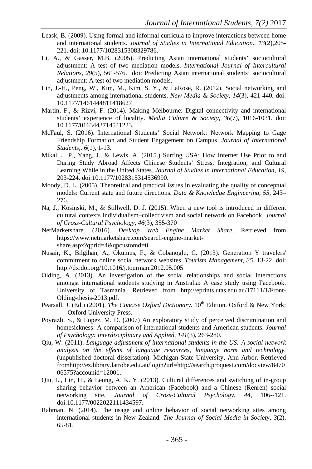- Leask, B. (2009). Using formal and informal curricula to improve interactions between home and international students. *Journal of Studies in International Education*., *13*(2),205- 221. doi: 10.1177/1028315308329786.
- Li, A., & Gasser, M.B. (2005). Predicting Asian international students' sociocultural adjustment: A test of two mediation models. *International Journal of Intercultural Relations, 29*(5), 561-576. doi: Predicting Asian international students' sociocultural adjustment: A test of two mediation models.
- Lin, J.-H., Peng, W., Kim, M., Kim, S. Y., & LaRose, R. (2012). Social networking and adjustments among international students. *New Media & Society, 14*(3), 421-440. doi: 10.1177/1461444811418627
- Martin, F., & Rizvi, F. (2014). Making Melbourne: Digital connectivity and international students' experience of locality. *Media Culture & Society, 36*(7), 1016-1031. doi: 10.1177/0163443714541223.
- McFaul, S. (2016). International Students' Social Network: Network Mapping to Gage Friendship Formation and Student Engagement on Campus. *Journal of International Students,. 6*(1), 1-13.
- Mikal, J. P., Yang, J., & Lewis, A. (2015.) Surfing USA: How Internet Use Prior to and During Study Abroad Affects Chinese Students' Stress, Integration, and Cultural Learning While in the United States. *Journal of Studies in International Education, 19,*  203-224. doi:10.1177/1028315314536990.
- Moody, D. L. (2005). Theoretical and practical issues in evaluating the quality of conceptual models: Current state and future directions. *Data & Knowledge Engineering, 55,* 243– 276.
- Na, J., Kosinski, M., & Stillwell, D. J. (2015). When a new tool is introduced in different cultural contexts individualism–collectivism and social network on Facebook. *Journal of Cross-Cultural Psychology, 46*(3), 355-370
- NetMarketshare. (2016). *Desktop Web Engine Market Share,* Retrieved from https://www.netmarketshare.com/search-engine-marketshare.aspx?qprid=4&qpcustomd=0.
- Nusair, K., Bilgihan, A., Okumus, F., & Cobanoglu, C. (2013). Generation Y travelers' commitment to online social network websites. *Tourism Management, 35,* 13-22. doi: http://dx.doi.org/10.1016/j.tourman.2012.05.005
- Olding, A. (2013). An investigation of the social relationships and social interactions amongst international students studying in Australia: A case study using Facebook. University of Tasmania. Retrieved from http://eprints.utas.edu.au/17111/1/Front-Olding-thesis-2013.pdf.
- Pearsall, J. (Ed.) (2001). *The Concise Oxford Dictionary*. 10<sup>th</sup> Edition. Oxford & New York: Oxford University Press.
- Poyrazli, S., & Lopez, M. D. (2007) An exploratory study of perceived discrimination and homesickness: A comparison of international students and American students. *Journal of Psychology: Interdisciplinary and Applied*, *141*(3), 263-280.
- Qiu, W. (2011). *Language adjustment of international students in the US: A social network analysis on the effects of language resources, language norm and technology.*  (unpublished doctoral dissertation). Michigan State University, Ann Arbor. Retrieved fromhttp://ez.library.latrobe.edu.au/login?url=http://search.proquest.com/docview/8470 06575?accounid=12001.
- Qiu, L., Lin, H., & Leung, A. K. Y. (2013). Cultural differences and switching of in-group sharing behavior between an American (Facebook) and a Chinese (Renren) social networking site. *Journal of Cross-Cultural Psychology*, *44*, 106--121. doi:10.1177/0022022111434597.
- Rahman, N. (2014). The usage and online behavior of social networking sites among international students in New Zealand. *The Journal of Social Media in Society, 3*(2), 65-81.